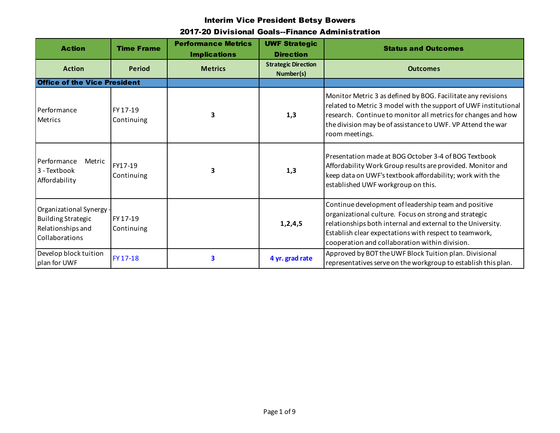| <b>Action</b>                                                                                | <b>Time Frame</b>      | <b>Performance Metrics</b><br><b>Implications</b> | <b>UWF Strategic</b><br><b>Direction</b> | <b>Status and Outcomes</b>                                                                                                                                                                                                                                                               |
|----------------------------------------------------------------------------------------------|------------------------|---------------------------------------------------|------------------------------------------|------------------------------------------------------------------------------------------------------------------------------------------------------------------------------------------------------------------------------------------------------------------------------------------|
| <b>Action</b>                                                                                | <b>Period</b>          | <b>Metrics</b>                                    | <b>Strategic Direction</b><br>Number(s)  | <b>Outcomes</b>                                                                                                                                                                                                                                                                          |
| <b>Office of the Vice President</b>                                                          |                        |                                                   |                                          |                                                                                                                                                                                                                                                                                          |
| Performance<br><b>Metrics</b>                                                                | FY 17-19<br>Continuing | 3                                                 | 1,3                                      | Monitor Metric 3 as defined by BOG. Facilitate any revisions<br>related to Metric 3 model with the support of UWF institutional<br>research. Continue to monitor all metrics for changes and how<br>the division may be of assistance to UWF. VP Attend the war<br>room meetings.        |
| Performance<br>Metric<br>3 - Textbook<br>Affordability                                       | FY17-19<br>Continuing  | 3                                                 | 1,3                                      | Presentation made at BOG October 3-4 of BOG Textbook<br>Affordability Work Group results are provided. Monitor and<br>keep data on UWF's textbook affordability; work with the<br>established UWF workgroup on this.                                                                     |
| Organizational Synergy -<br><b>Building Strategic</b><br>Relationships and<br>Collaborations | FY 17-19<br>Continuing |                                                   | 1, 2, 4, 5                               | Continue development of leadership team and positive<br>organizational culture. Focus on strong and strategic<br>relationships both internal and external to the University.<br>Establish clear expectations with respect to teamwork,<br>cooperation and collaboration within division. |
| Develop block tuition<br>plan for UWF                                                        | FY 17-18               | 3                                                 | 4 yr. grad rate                          | Approved by BOT the UWF Block Tuition plan. Divisional<br>representatives serve on the workgroup to establish this plan.                                                                                                                                                                 |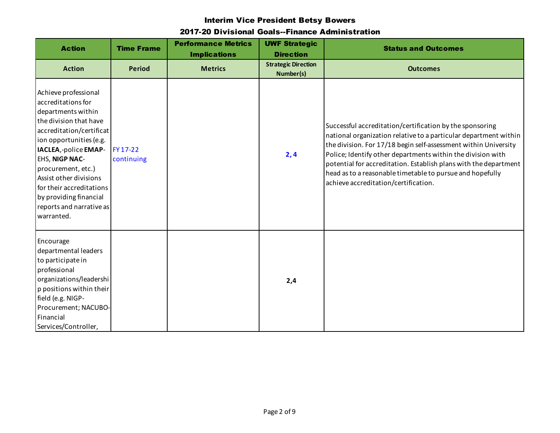| <b>Action</b>                                                                                                                                                                                                                                                                                                                                | <b>Time Frame</b>      | <b>Performance Metrics</b><br><b>Implications</b> | <b>UWF Strategic</b><br><b>Direction</b> | <b>Status and Outcomes</b>                                                                                                                                                                                                                                                                                                                                                                                                              |
|----------------------------------------------------------------------------------------------------------------------------------------------------------------------------------------------------------------------------------------------------------------------------------------------------------------------------------------------|------------------------|---------------------------------------------------|------------------------------------------|-----------------------------------------------------------------------------------------------------------------------------------------------------------------------------------------------------------------------------------------------------------------------------------------------------------------------------------------------------------------------------------------------------------------------------------------|
| <b>Action</b>                                                                                                                                                                                                                                                                                                                                | <b>Period</b>          | <b>Metrics</b>                                    | <b>Strategic Direction</b><br>Number(s)  | <b>Outcomes</b>                                                                                                                                                                                                                                                                                                                                                                                                                         |
| Achieve professional<br>accreditations for<br>departments within<br>the division that have<br>accreditation/certificat<br>ion opportunities (e.g.<br>IACLEA, -police EMAP-<br>EHS, NIGP NAC-<br>procurement, etc.)<br>Assist other divisions<br>for their accreditations<br>by providing financial<br>reports and narrative as<br>warranted. | FY 17-22<br>continuing |                                                   | 2,4                                      | Successful accreditation/certification by the sponsoring<br>national organization relative to a particular department within<br>the division. For 17/18 begin self-assessment within University<br>Police; Identify other departments within the division with<br>potential for accreditation. Establish plans with the department<br>head as to a reasonable timetable to pursue and hopefully<br>achieve accreditation/certification. |
| Encourage<br>departmental leaders<br>to participate in<br>professional<br>organizations/leadershi<br>p positions within their<br>field (e.g. NIGP-<br>Procurement; NACUBO-<br>Financial<br>Services/Controller,                                                                                                                              |                        |                                                   | 2,4                                      |                                                                                                                                                                                                                                                                                                                                                                                                                                         |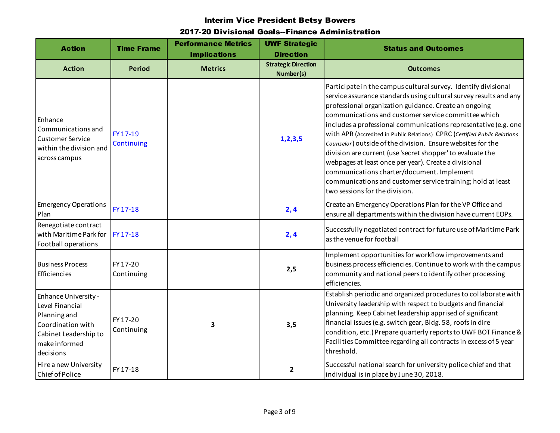| <b>Action</b>                                                                                                                       | <b>Time Frame</b>      | <b>Performance Metrics</b><br><b>Implications</b> | <b>UWF Strategic</b><br><b>Direction</b> | <b>Status and Outcomes</b>                                                                                                                                                                                                                                                                                                                                                                                                                                                                                                                                                                                                                                                                                                                |
|-------------------------------------------------------------------------------------------------------------------------------------|------------------------|---------------------------------------------------|------------------------------------------|-------------------------------------------------------------------------------------------------------------------------------------------------------------------------------------------------------------------------------------------------------------------------------------------------------------------------------------------------------------------------------------------------------------------------------------------------------------------------------------------------------------------------------------------------------------------------------------------------------------------------------------------------------------------------------------------------------------------------------------------|
| <b>Action</b>                                                                                                                       | <b>Period</b>          | <b>Metrics</b>                                    | <b>Strategic Direction</b><br>Number(s)  | <b>Outcomes</b>                                                                                                                                                                                                                                                                                                                                                                                                                                                                                                                                                                                                                                                                                                                           |
| Enhance<br>Communications and<br><b>Customer Service</b><br>within the division and<br>across campus                                | FY 17-19<br>Continuing |                                                   | 1, 2, 3, 5                               | Participate in the campus cultural survey. Identify divisional<br>service assurance standards using cultural survey results and any<br>professional organization guidance. Create an ongoing<br>communications and customer service committee which<br>includes a professional communications representative (e.g. one<br>with APR (Accredited in Public Relations) CPRC (Certified Public Relations<br>Counselor) outside of the division. Ensure websites for the<br>division are current (use 'secret shopper' to evaluate the<br>webpages at least once per year). Create a divisional<br>communications charter/document. Implement<br>communications and customer service training; hold at least<br>two sessions for the division. |
| <b>Emergency Operations</b><br>Plan                                                                                                 | FY 17-18               |                                                   | 2,4                                      | Create an Emergency Operations Plan for the VP Office and<br>ensure all departments within the division have current EOPs.                                                                                                                                                                                                                                                                                                                                                                                                                                                                                                                                                                                                                |
| Renegotiate contract<br>with Maritime Park for<br>Football operations                                                               | FY 17-18               |                                                   | 2,4                                      | Successfully negotiated contract for future use of Maritime Park<br>as the venue for football                                                                                                                                                                                                                                                                                                                                                                                                                                                                                                                                                                                                                                             |
| <b>Business Process</b><br>Efficiencies                                                                                             | FY 17-20<br>Continuing |                                                   | 2,5                                      | Implement opportunities for workflow improvements and<br>business process efficiencies. Continue to work with the campus<br>community and national peers to identify other processing<br>efficiencies.                                                                                                                                                                                                                                                                                                                                                                                                                                                                                                                                    |
| Enhance University -<br>Level Financial<br>Planning and<br>Coordination with<br>Cabinet Leadership to<br>make informed<br>decisions | FY 17-20<br>Continuing | 3                                                 | 3,5                                      | Establish periodic and organized procedures to collaborate with<br>University leadership with respect to budgets and financial<br>planning. Keep Cabinet leadership apprised of significant<br>financial issues (e.g. switch gear, Bldg. 58, roofs in dire<br>condition, etc.) Prepare quarterly reports to UWF BOT Finance &<br>Facilities Committee regarding all contracts in excess of 5 year<br>threshold.                                                                                                                                                                                                                                                                                                                           |
| Hire a new University<br>Chief of Police                                                                                            | FY 17-18               |                                                   | $\overline{2}$                           | Successful national search for university police chief and that<br>individual is in place by June 30, 2018.                                                                                                                                                                                                                                                                                                                                                                                                                                                                                                                                                                                                                               |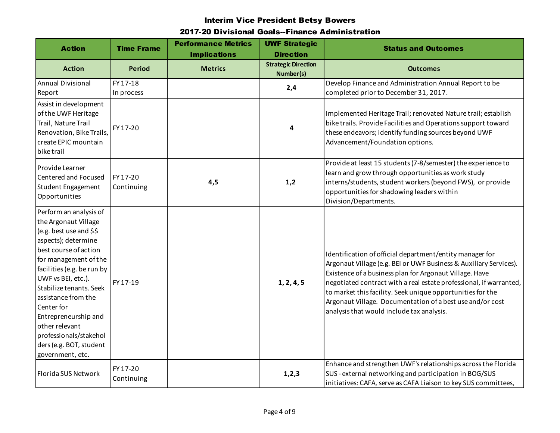| <b>Action</b>                                                                                                                                                                                                                                                                                                                                                                             | <b>Time Frame</b>      | <b>Performance Metrics</b><br><b>Implications</b> | <b>UWF Strategic</b><br><b>Direction</b> | <b>Status and Outcomes</b>                                                                                                                                                                                                                                                                                                                                                                                                             |
|-------------------------------------------------------------------------------------------------------------------------------------------------------------------------------------------------------------------------------------------------------------------------------------------------------------------------------------------------------------------------------------------|------------------------|---------------------------------------------------|------------------------------------------|----------------------------------------------------------------------------------------------------------------------------------------------------------------------------------------------------------------------------------------------------------------------------------------------------------------------------------------------------------------------------------------------------------------------------------------|
| <b>Action</b>                                                                                                                                                                                                                                                                                                                                                                             | <b>Period</b>          | <b>Metrics</b>                                    | <b>Strategic Direction</b><br>Number(s)  | <b>Outcomes</b>                                                                                                                                                                                                                                                                                                                                                                                                                        |
| <b>Annual Divisional</b><br>Report                                                                                                                                                                                                                                                                                                                                                        | FY 17-18<br>In process |                                                   | 2,4                                      | Develop Finance and Administration Annual Report to be<br>completed prior to December 31, 2017.                                                                                                                                                                                                                                                                                                                                        |
| Assist in development<br>of the UWF Heritage<br>Trail, Nature Trail<br>Renovation, Bike Trails,<br>create EPIC mountain<br>bike trail                                                                                                                                                                                                                                                     | FY 17-20               |                                                   | 4                                        | Implemented Heritage Trail; renovated Nature trail; establish<br>bike trails. Provide Facilities and Operations support toward<br>these endeavors; identify funding sources beyond UWF<br>Advancement/Foundation options.                                                                                                                                                                                                              |
| Provide Learner<br>Centered and Focused<br>Student Engagement<br>Opportunities                                                                                                                                                                                                                                                                                                            | FY 17-20<br>Continuing | 4,5                                               | 1,2                                      | Provide at least 15 students (7-8/semester) the experience to<br>learn and grow through opportunities as work study<br>interns/students, student workers (beyond FWS), or provide<br>opportunities for shadowing leaders within<br>Division/Departments.                                                                                                                                                                               |
| Perform an analysis of<br>the Argonaut Village<br>(e.g. best use and \$\$<br>aspects); determine<br>best course of action<br>for management of the<br>facilities (e.g. be run by<br>UWF vs BEI, etc.).<br>Stabilize tenants. Seek<br>assistance from the<br>Center for<br>Entrepreneurship and<br>other relevant<br>professionals/stakehol<br>ders (e.g. BOT, student<br>government, etc. | FY 17-19               |                                                   | 1, 2, 4, 5                               | Identification of official department/entity manager for<br>Argonaut Village (e.g. BEI or UWF Business & Auxiliary Services).<br>Existence of a business plan for Argonaut Village. Have<br>negotiated contract with a real estate professional, if warranted,<br>to market this facility. Seek unique opportunities for the<br>Argonaut Village. Documentation of a best use and/or cost<br>analysis that would include tax analysis. |
| Florida SUS Network                                                                                                                                                                                                                                                                                                                                                                       | FY 17-20<br>Continuing |                                                   | 1, 2, 3                                  | Enhance and strengthen UWF's relationships across the Florida<br>SUS - external networking and participation in BOG/SUS<br>initiatives: CAFA, serve as CAFA Liaison to key SUS committees,                                                                                                                                                                                                                                             |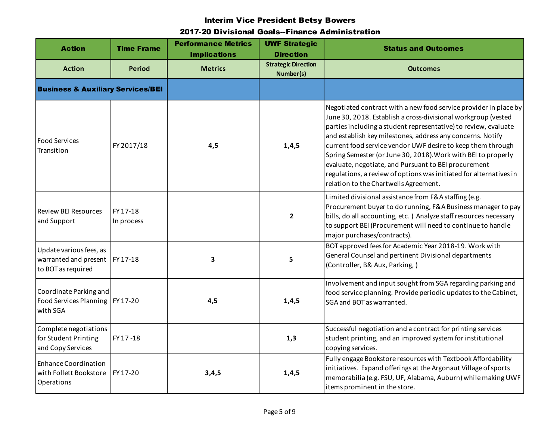| <b>Action</b>                                                           | <b>Time Frame</b>      | <b>Performance Metrics</b><br><b>Implications</b> | <b>UWF Strategic</b><br><b>Direction</b> | <b>Status and Outcomes</b>                                                                                                                                                                                                                                                                                                                                                                                                                                                                                                                                                |
|-------------------------------------------------------------------------|------------------------|---------------------------------------------------|------------------------------------------|---------------------------------------------------------------------------------------------------------------------------------------------------------------------------------------------------------------------------------------------------------------------------------------------------------------------------------------------------------------------------------------------------------------------------------------------------------------------------------------------------------------------------------------------------------------------------|
| <b>Action</b>                                                           | <b>Period</b>          | <b>Metrics</b>                                    | <b>Strategic Direction</b><br>Number(s)  | <b>Outcomes</b>                                                                                                                                                                                                                                                                                                                                                                                                                                                                                                                                                           |
| <b>Business &amp; Auxiliary Services/BEI</b>                            |                        |                                                   |                                          |                                                                                                                                                                                                                                                                                                                                                                                                                                                                                                                                                                           |
| <b>Food Services</b><br>Transition                                      | FY 2017/18             | 4,5                                               | 1,4,5                                    | Negotiated contract with a new food service provider in place by<br>June 30, 2018. Establish a cross-divisional workgroup (vested<br>parties including a student representative) to review, evaluate<br>and establish key milestones, address any concerns. Notify<br>current food service vendor UWF desire to keep them through<br>Spring Semester (or June 30, 2018). Work with BEI to properly<br>evaluate, negotiate, and Pursuant to BEI procurement<br>regulations, a review of options was initiated for alternatives in<br>relation to the Chartwells Agreement. |
| <b>Review BEI Resources</b><br>and Support                              | FY 17-18<br>In process |                                                   | $\overline{2}$                           | Limited divisional assistance from F&A staffing (e.g.<br>Procurement buyer to do running, F&A Business manager to pay<br>bills, do all accounting, etc.) Analyze staff resources necessary<br>to support BEI (Procurement will need to continue to handle<br>major purchases/contracts).                                                                                                                                                                                                                                                                                  |
| Update various fees, as<br>warranted and present<br>to BOT as required  | FY 17-18               | 3                                                 | 5                                        | BOT approved fees for Academic Year 2018-19. Work with<br>General Counsel and pertinent Divisional departments<br>(Controller, B& Aux, Parking,)                                                                                                                                                                                                                                                                                                                                                                                                                          |
| Coordinate Parking and<br>Food Services Planning   FY 17-20<br>with SGA |                        | 4,5                                               | 1,4,5                                    | Involvement and input sought from SGA regarding parking and<br>food service planning. Provide periodic updates to the Cabinet,<br>SGA and BOT as warranted.                                                                                                                                                                                                                                                                                                                                                                                                               |
| Complete negotiations<br>for Student Printing<br>and Copy Services      | FY 17-18               |                                                   | 1,3                                      | Successful negotiation and a contract for printing services<br>student printing, and an improved system for institutional<br>copying services.                                                                                                                                                                                                                                                                                                                                                                                                                            |
| <b>Enhance Coordination</b><br>with Follett Bookstore<br>Operations     | FY 17-20               | 3,4,5                                             | 1, 4, 5                                  | Fully engage Bookstore resources with Textbook Affordability<br>initiatives. Expand offerings at the Argonaut Village of sports<br>memorabilia (e.g. FSU, UF, Alabama, Auburn) while making UWF<br>items prominent in the store.                                                                                                                                                                                                                                                                                                                                          |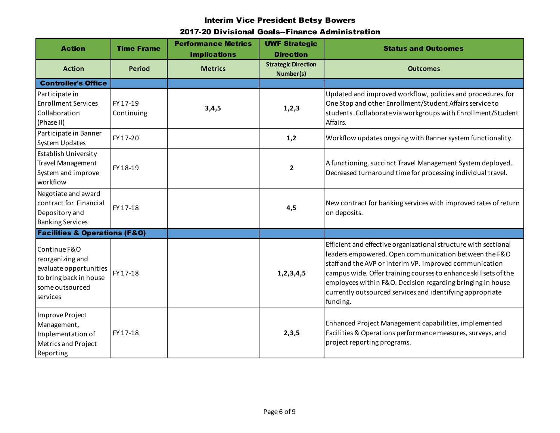| <b>Action</b>                                                                                                       | <b>Time Frame</b>      | <b>Performance Metrics</b><br><b>Implications</b> | <b>UWF Strategic</b><br><b>Direction</b> | <b>Status and Outcomes</b>                                                                                                                                                                                                                                                                                                                                                                    |
|---------------------------------------------------------------------------------------------------------------------|------------------------|---------------------------------------------------|------------------------------------------|-----------------------------------------------------------------------------------------------------------------------------------------------------------------------------------------------------------------------------------------------------------------------------------------------------------------------------------------------------------------------------------------------|
| <b>Action</b>                                                                                                       | <b>Period</b>          | <b>Metrics</b>                                    | <b>Strategic Direction</b><br>Number(s)  | <b>Outcomes</b>                                                                                                                                                                                                                                                                                                                                                                               |
| <b>Controller's Office</b>                                                                                          |                        |                                                   |                                          |                                                                                                                                                                                                                                                                                                                                                                                               |
| Participate in<br><b>Enrollment Services</b><br>Collaboration<br>(Phase II)                                         | FY 17-19<br>Continuing | 3,4,5                                             | 1, 2, 3                                  | Updated and improved workflow, policies and procedures for<br>One Stop and other Enrollment/Student Affairs service to<br>students. Collaborate via workgroups with Enrollment/Student<br>Affairs.                                                                                                                                                                                            |
| Participate in Banner<br><b>System Updates</b>                                                                      | FY 17-20               |                                                   | 1,2                                      | Workflow updates ongoing with Banner system functionality.                                                                                                                                                                                                                                                                                                                                    |
| <b>Establish University</b><br><b>Travel Management</b><br>System and improve<br>workflow                           | FY 18-19               |                                                   | $\overline{2}$                           | A functioning, succinct Travel Management System deployed.<br>Decreased turnaround time for processing individual travel.                                                                                                                                                                                                                                                                     |
| Negotiate and award<br>contract for Financial<br>Depository and<br><b>Banking Services</b>                          | FY 17-18               |                                                   | 4,5                                      | New contract for banking services with improved rates of return<br>on deposits.                                                                                                                                                                                                                                                                                                               |
| <b>Facilities &amp; Operations (F&amp;O)</b>                                                                        |                        |                                                   |                                          |                                                                                                                                                                                                                                                                                                                                                                                               |
| Continue F&O<br>reorganizing and<br>evaluate opportunities<br>to bring back in house<br>some outsourced<br>services | FY 17-18               |                                                   | 1,2,3,4,5                                | Efficient and effective organizational structure with sectional<br>leaders empowered. Open communication between the F&O<br>staff and the AVP or interim VP. Improved communication<br>campus wide. Offer training courses to enhance skillsets of the<br>employees within F&O. Decision regarding bringing in house<br>currently outsourced services and identifying appropriate<br>funding. |
| Improve Project<br>Management,<br>Implementation of<br>Metrics and Project<br>Reporting                             | FY 17-18               |                                                   | 2,3,5                                    | Enhanced Project Management capabilities, implemented<br>Facilities & Operations performance measures, surveys, and<br>project reporting programs.                                                                                                                                                                                                                                            |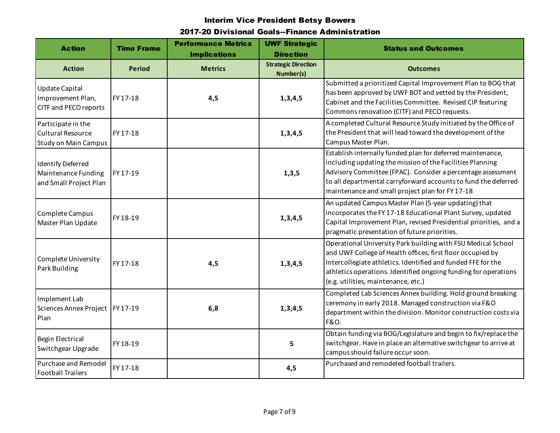| <b>Action</b>                                                                 | <b>Time Frame</b> | <b>Performance Metrics</b><br><b>Implications</b> | <b>UWF Strategic</b><br><b>Direction</b> | <b>Status and Outcomes</b>                                                                                                                                                                                                                                                                                  |
|-------------------------------------------------------------------------------|-------------------|---------------------------------------------------|------------------------------------------|-------------------------------------------------------------------------------------------------------------------------------------------------------------------------------------------------------------------------------------------------------------------------------------------------------------|
| <b>Action</b>                                                                 | <b>Period</b>     | <b>Metrics</b>                                    | <b>Strategic Direction</b><br>Number(s)  | <b>Outcomes</b>                                                                                                                                                                                                                                                                                             |
| Update Capital<br>Improvement Plan,<br>CITF and PECO reports                  | FY 17-18          | 4,5                                               | 1, 3, 4, 5                               | Submitted a prioritized Capital Improvement Plan to BOG that<br>has been approved by UWF BOT and vetted by the President,<br>Cabinet and the Facilities Committee. Revised CIP featuring<br>Commons renovation (CITF) and PECO requests.                                                                    |
| Participate in the<br><b>Cultural Resource</b><br><b>Study on Main Campus</b> | FY 17-18          |                                                   | 1, 3, 4, 5                               | A completed Cultural Resource Study initiated by the Office of<br>the President that will lead toward the development of the<br>Campus Master Plan.                                                                                                                                                         |
| <b>Identify Deferred</b><br>Maintenance Funding<br>and Small Project Plan     | FY 17-19          |                                                   | 1, 3, 5                                  | Establish internally funded plan for deferred maintenance,<br>including updating the mission of the Facilities Planning<br>Advisory Committee (FPAC). Consider a percentage assessment<br>to all departmental carryforward accounts to fund the deferred<br>maintenance and small project plan for FY 17-18 |
| Complete Campus<br>Master Plan Update                                         | FY 18-19          |                                                   | 1,3,4,5                                  | An updated Campus Master Plan (5-year updating) that<br>incorporates the FY 17-18 Educational Plant Survey, updated<br>Capital Improvement Plan, revised Presidential priorities, and a<br>pragmatic presentation of future priorities.                                                                     |
| Complete University<br>Park Building                                          | FY 17-18          | 4,5                                               | 1, 3, 4, 5                               | Operational University Park building with FSU Medical School<br>and UWF College of Health offices; first floor occupied by<br>Intercollegiate athletics. Identified and funded FFE for the<br>athletics operations. Identified ongoing funding for operations<br>(e.g. utilities, maintenance, etc.)        |
| Implement Lab<br>Sciences Annex Project   FY 17-19<br>Plan                    |                   | 6,8                                               | 1,3,4,5                                  | Completed Lab Sciences Annex building. Hold ground breaking<br>ceremony in early 2018. Managed construction via F&O<br>department within the division. Monitor construction costs via<br><b>F&amp;O.</b>                                                                                                    |
| <b>Begin Electrical</b><br>Switchgear Upgrade                                 | FY 18-19          |                                                   | 5                                        | Obtain funding via BOG/Legislature and begin to fix/replace the<br>switchgear. Have in place an alternative switchgear to arrive at<br>campus should failure occur soon.                                                                                                                                    |
| Purchase and Remodel<br><b>Football Trailers</b>                              | FY 17-18          |                                                   | 4,5                                      | Purchased and remodeled football trailers.                                                                                                                                                                                                                                                                  |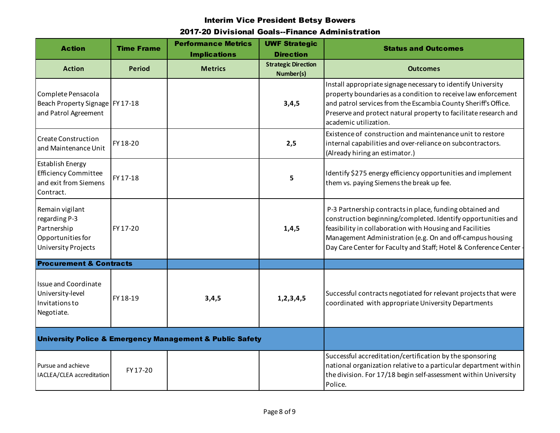| <b>Action</b>                                                                                | <b>Time Frame</b> | <b>Performance Metrics</b><br><b>Implications</b> | <b>UWF Strategic</b><br><b>Direction</b> | <b>Status and Outcomes</b>                                                                                                                                                                                                                                                                                              |
|----------------------------------------------------------------------------------------------|-------------------|---------------------------------------------------|------------------------------------------|-------------------------------------------------------------------------------------------------------------------------------------------------------------------------------------------------------------------------------------------------------------------------------------------------------------------------|
| <b>Action</b>                                                                                | <b>Period</b>     | <b>Metrics</b>                                    | <b>Strategic Direction</b><br>Number(s)  | <b>Outcomes</b>                                                                                                                                                                                                                                                                                                         |
| Complete Pensacola<br>Beach Property Signage   FY 17-18<br>and Patrol Agreement              |                   |                                                   | 3,4,5                                    | Install appropriate signage necessary to identify University<br>property boundaries as a condition to receive law enforcement<br>and patrol services from the Escambia County Sheriff's Office.<br>Preserve and protect natural property to facilitate research and<br>academic utilization.                            |
| <b>Create Construction</b><br>and Maintenance Unit                                           | FY 18-20          |                                                   | 2,5                                      | Existence of construction and maintenance unit to restore<br>internal capabilities and over-reliance on subcontractors.<br>(Already hiring an estimator.)                                                                                                                                                               |
| <b>Establish Energy</b><br><b>Efficiency Committee</b><br>and exit from Siemens<br>Contract. | FY 17-18          |                                                   | 5                                        | Identify \$275 energy efficiency opportunities and implement<br>them vs. paying Siemens the break up fee.                                                                                                                                                                                                               |
| Remain vigilant<br>regarding P-3<br>Partnership<br>Opportunities for<br>University Projects  | FY 17-20          |                                                   | 1,4,5                                    | P-3 Partnership contracts in place, funding obtained and<br>construction beginning/completed. Identify opportunities and<br>feasibility in collaboration with Housing and Facilities<br>Management Administration (e.g. On and off-campus housing<br>Day Care Center for Faculty and Staff; Hotel & Conference Center - |
| <b>Procurement &amp; Contracts</b>                                                           |                   |                                                   |                                          |                                                                                                                                                                                                                                                                                                                         |
| <b>Issue and Coordinate</b><br>University-level<br>Invitations to<br>Negotiate.              | FY 18-19          | 3,4,5                                             | 1,2,3,4,5                                | Successful contracts negotiated for relevant projects that were<br>coordinated with appropriate University Departments                                                                                                                                                                                                  |
| <b>University Police &amp; Emergency Management &amp; Public Safety</b>                      |                   |                                                   |                                          |                                                                                                                                                                                                                                                                                                                         |
| Pursue and achieve<br>IACLEA/CLEA accreditation                                              | FY 17-20          |                                                   |                                          | Successful accreditation/certification by the sponsoring<br>national organization relative to a particular department within<br>the division. For 17/18 begin self-assessment within University<br>Police.                                                                                                              |